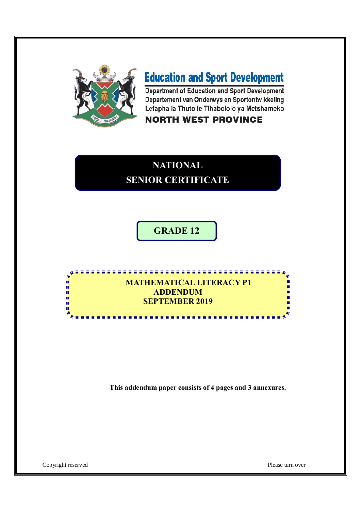

# **Education and Sport Development**

Department of Education and Sport Development Departement van Onderwys en Sportontwikkeling Lefapha la Thuto le Tihabololo ya Metshameko

## **NORTH WEST PROVINCE**

# **NATIONAL SENIOR CERTIFICATE**

**GRADE 12**

## **MATHEMATICAL LITERACY P1 ADDENDUM SEPTEMBER 2019**

**This addendum paper consists of 4 pages and 3 annexures.**

Copyright reserved Please turn over

 $\overline{a}$ i. ú, ú, ī.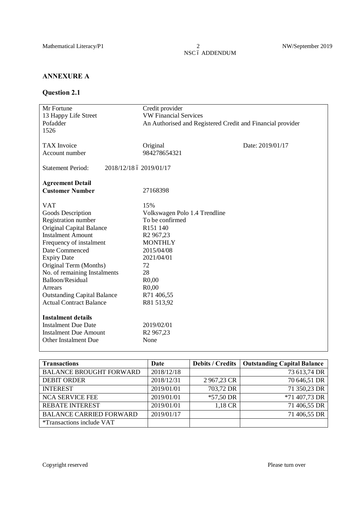$\frac{2}{\rm NSC}$ ó ADDENDUM

#### **ANNEXURE A**

#### **Question 2.1**

| Mr Fortune                                          | Credit provider                                            |                  |  |
|-----------------------------------------------------|------------------------------------------------------------|------------------|--|
| 13 Happy Life Street                                | <b>VW Financial Services</b>                               |                  |  |
| Pofadder                                            | An Authorised and Registered Credit and Financial provider |                  |  |
| 1526                                                |                                                            |                  |  |
|                                                     |                                                            |                  |  |
| <b>TAX</b> Invoice                                  | Original                                                   | Date: 2019/01/17 |  |
| Account number                                      | 984278654321                                               |                  |  |
|                                                     |                                                            |                  |  |
| <b>Statement Period:</b><br>2018/12/18 ó 2019/01/17 |                                                            |                  |  |
|                                                     |                                                            |                  |  |
| <b>Agreement Detail</b>                             |                                                            |                  |  |
| <b>Customer Number</b>                              | 27168398                                                   |                  |  |
|                                                     |                                                            |                  |  |
| <b>VAT</b>                                          | 15%                                                        |                  |  |
| Goods Description                                   | Volkswagen Polo 1.4 Trendline                              |                  |  |
| <b>Registration number</b>                          | To be confirmed                                            |                  |  |
| <b>Original Capital Balance</b>                     | R151 140                                                   |                  |  |
| <b>Instalment Amount</b>                            | R <sub>2</sub> 967,23                                      |                  |  |
| Frequency of instalment                             | <b>MONTHLY</b>                                             |                  |  |
| Date Commenced                                      | 2015/04/08                                                 |                  |  |
| <b>Expiry Date</b>                                  | 2021/04/01                                                 |                  |  |
| Original Term (Months)                              | 72                                                         |                  |  |
| No. of remaining Instalments                        | 28                                                         |                  |  |
| Balloon/Residual                                    | R <sub>0</sub> ,00                                         |                  |  |
| Arrears                                             | R <sub>0</sub> ,00                                         |                  |  |
| <b>Outstanding Capital Balance</b>                  | R71 406,55                                                 |                  |  |
| <b>Actual Contract Balance</b>                      | R81 513,92                                                 |                  |  |
|                                                     |                                                            |                  |  |
| <b>Instalment details</b>                           |                                                            |                  |  |
| <b>Instalment Due Date</b>                          | 2019/02/01                                                 |                  |  |
| <b>Instalment Due Amount</b>                        | R <sub>2</sub> 967,23                                      |                  |  |
| Other Instalment Due                                | None                                                       |                  |  |
|                                                     |                                                            |                  |  |

| <b>Transactions</b>              | Date       | <b>Debits / Credits</b> | <b>Outstanding Capital Balance</b> |
|----------------------------------|------------|-------------------------|------------------------------------|
| <b>BALANCE BROUGHT FORWARD</b>   | 2018/12/18 |                         | 73 613,74 DR                       |
| <b>DEBIT ORDER</b>               | 2018/12/31 | 2967,23 CR              | 70 646,51 DR                       |
| <b>INTEREST</b>                  | 2019/01/01 | 703,72 DR               | 71 350,23 DR                       |
| <b>NCA SERVICE FEE</b>           | 2019/01/01 | $*57,50$ DR             | *71 407,73 DR                      |
| <b>REBATE INTEREST</b>           | 2019/01/01 | 1,18 CR                 | 71 406,55 DR                       |
| <b>BALANCE CARRIED FORWARD</b>   | 2019/01/17 |                         | 71 406,55 DR                       |
| <i>*Transactions include VAT</i> |            |                         |                                    |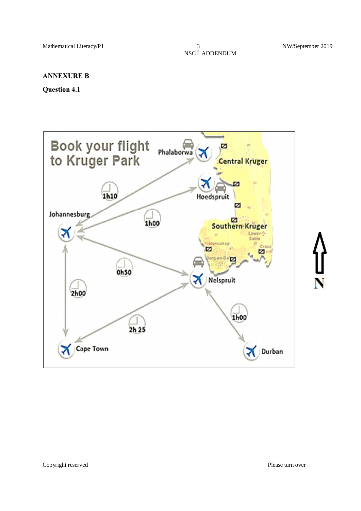#### **ANNEXURE B**

#### **Question 4.1**